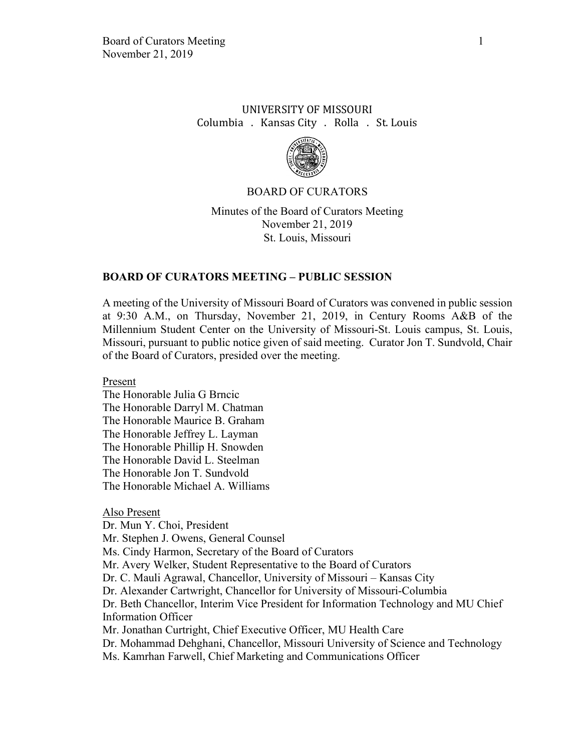# UNIVERSITY OF MISSOURI Columbia . Kansas City . Rolla . St. Louis



### BOARD OF CURATORS

Minutes of the Board of Curators Meeting November 21, 2019 St. Louis, Missouri

### **BOARD OF CURATORS MEETING – PUBLIC SESSION**

A meeting of the University of Missouri Board of Curators was convened in public session at 9:30 A.M., on Thursday, November 21, 2019, in Century Rooms A&B of the Millennium Student Center on the University of Missouri-St. Louis campus, St. Louis, Missouri, pursuant to public notice given of said meeting. Curator Jon T. Sundvold, Chair of the Board of Curators, presided over the meeting.

Present

The Honorable Julia G Brncic The Honorable Darryl M. Chatman The Honorable Maurice B. Graham The Honorable Jeffrey L. Layman The Honorable Phillip H. Snowden The Honorable David L. Steelman The Honorable Jon T. Sundvold The Honorable Michael A. Williams

### Also Present

Dr. Mun Y. Choi, President Mr. Stephen J. Owens, General Counsel Ms. Cindy Harmon, Secretary of the Board of Curators Mr. Avery Welker, Student Representative to the Board of Curators Dr. C. Mauli Agrawal, Chancellor, University of Missouri – Kansas City Dr. Alexander Cartwright, Chancellor for University of Missouri-Columbia Dr. Beth Chancellor, Interim Vice President for Information Technology and MU Chief Information Officer Mr. Jonathan Curtright, Chief Executive Officer, MU Health Care Dr. Mohammad Dehghani, Chancellor, Missouri University of Science and Technology Ms. Kamrhan Farwell, Chief Marketing and Communications Officer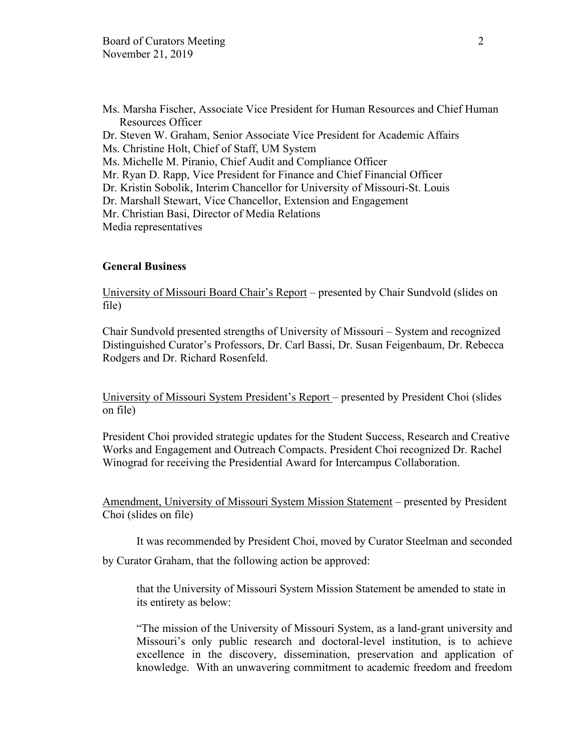Ms. Marsha Fischer, Associate Vice President for Human Resources and Chief Human Resources Officer Dr. Steven W. Graham, Senior Associate Vice President for Academic Affairs Ms. Christine Holt, Chief of Staff, UM System Ms. Michelle M. Piranio, Chief Audit and Compliance Officer Mr. Ryan D. Rapp, Vice President for Finance and Chief Financial Officer Dr. Kristin Sobolik, Interim Chancellor for University of Missouri-St. Louis Dr. Marshall Stewart, Vice Chancellor, Extension and Engagement Mr. Christian Basi, Director of Media Relations Media representatives

# **General Business**

University of Missouri Board Chair's Report – presented by Chair Sundvold (slides on file)

Chair Sundvold presented strengths of University of Missouri – System and recognized Distinguished Curator's Professors, Dr. Carl Bassi, Dr. Susan Feigenbaum, Dr. Rebecca Rodgers and Dr. Richard Rosenfeld.

University of Missouri System President's Report – presented by President Choi (slides on file)

President Choi provided strategic updates for the Student Success, Research and Creative Works and Engagement and Outreach Compacts. President Choi recognized Dr. Rachel Winograd for receiving the Presidential Award for Intercampus Collaboration.

Amendment, University of Missouri System Mission Statement – presented by President Choi (slides on file)

It was recommended by President Choi, moved by Curator Steelman and seconded

by Curator Graham, that the following action be approved:

that the University of Missouri System Mission Statement be amended to state in its entirety as below:

"The mission of the University of Missouri System, as a land-grant university and Missouri's only public research and doctoral-level institution, is to achieve excellence in the discovery, dissemination, preservation and application of knowledge. With an unwavering commitment to academic freedom and freedom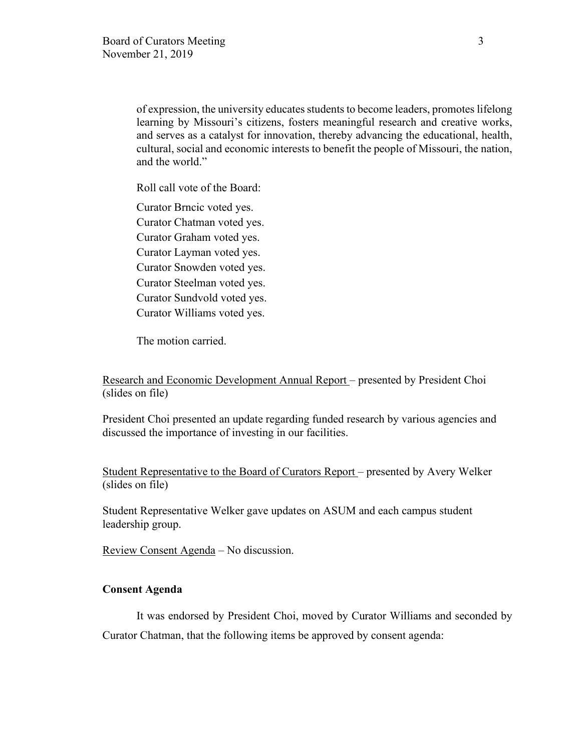of expression, the university educates students to become leaders, promotes lifelong learning by Missouri's citizens, fosters meaningful research and creative works, and serves as a catalyst for innovation, thereby advancing the educational, health, cultural, social and economic interests to benefit the people of Missouri, the nation, and the world."

Roll call vote of the Board:

Curator Brncic voted yes. Curator Chatman voted yes. Curator Graham voted yes. Curator Layman voted yes. Curator Snowden voted yes. Curator Steelman voted yes. Curator Sundvold voted yes. Curator Williams voted yes.

The motion carried.

Research and Economic Development Annual Report – presented by President Choi (slides on file)

President Choi presented an update regarding funded research by various agencies and discussed the importance of investing in our facilities.

Student Representative to the Board of Curators Report – presented by Avery Welker (slides on file)

Student Representative Welker gave updates on ASUM and each campus student leadership group.

Review Consent Agenda – No discussion.

## **Consent Agenda**

It was endorsed by President Choi, moved by Curator Williams and seconded by Curator Chatman, that the following items be approved by consent agenda: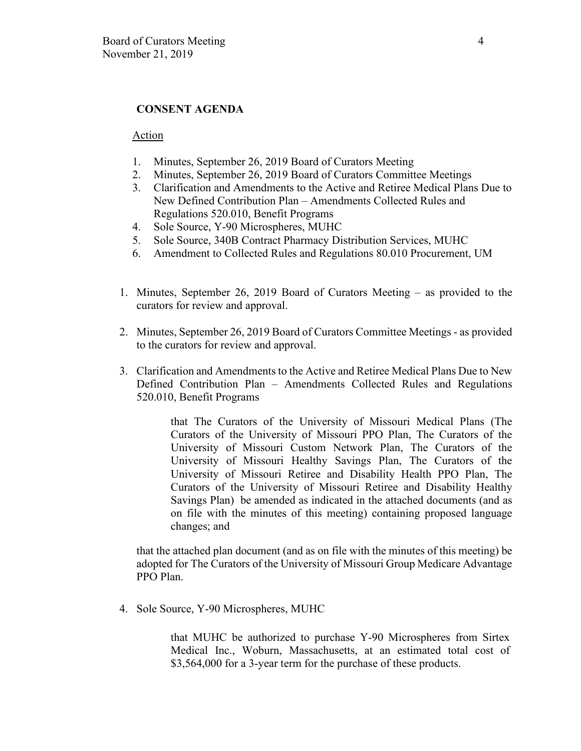## **CONSENT AGENDA**

### Action

- 1. Minutes, September 26, 2019 Board of Curators Meeting
- 2. Minutes, September 26, 2019 Board of Curators Committee Meetings
- 3. Clarification and Amendments to the Active and Retiree Medical Plans Due to New Defined Contribution Plan – Amendments Collected Rules and Regulations 520.010, Benefit Programs
- 4. Sole Source, Y-90 Microspheres, MUHC
- 5. Sole Source, 340B Contract Pharmacy Distribution Services, MUHC
- 6. Amendment to Collected Rules and Regulations 80.010 Procurement, UM
- 1. Minutes, September 26, 2019 Board of Curators Meeting as provided to the curators for review and approval.
- 2. Minutes, September 26, 2019 Board of Curators Committee Meetings as provided to the curators for review and approval.
- 3. Clarification and Amendments to the Active and Retiree Medical Plans Due to New Defined Contribution Plan – Amendments Collected Rules and Regulations 520.010, Benefit Programs

that The Curators of the University of Missouri Medical Plans (The Curators of the University of Missouri PPO Plan, The Curators of the University of Missouri Custom Network Plan, The Curators of the University of Missouri Healthy Savings Plan, The Curators of the University of Missouri Retiree and Disability Health PPO Plan, The Curators of the University of Missouri Retiree and Disability Healthy Savings Plan) be amended as indicated in the attached documents (and as on file with the minutes of this meeting) containing proposed language changes; and

that the attached plan document (and as on file with the minutes of this meeting) be adopted for The Curators of the University of Missouri Group Medicare Advantage PPO Plan.

4. Sole Source, Y-90 Microspheres, MUHC

that MUHC be authorized to purchase Y-90 Microspheres from Sirtex Medical Inc., Woburn, Massachusetts, at an estimated total cost of \$3,564,000 for a 3-year term for the purchase of these products.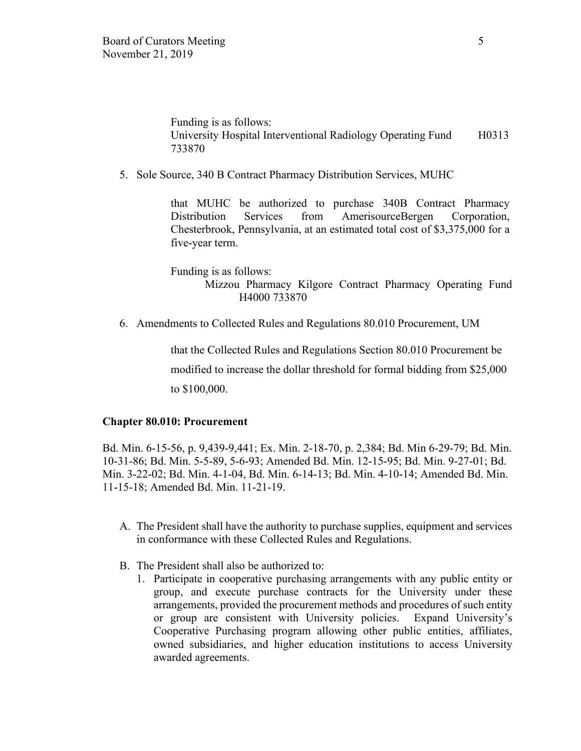Funding is as follows: University Hospital Interventional Radiology Operating Fund H0313 733870

5. Sole Source, 340 B Contract Pharmacy Distribution Services, MUHC

that MUHC be authorized to purchase 340B Contract Pharmacy Distribution Services from AmerisourceBergen Corporation, Chesterbrook, Pennsylvania, at an estimated total cost of \$3,375,000 for a five-year term.

Funding is as follows: Mizzou Pharmacy Kilgore Contract Pharmacy Operating Fund H4000 733870

6. Amendments to Collected Rules and Regulations 80.010 Procurement, UM

that the Collected Rules and Regulations Section 80.010 Procurement be modified to increase the dollar threshold for formal bidding from \$25,000 to \$100,000.

### **Chapter 80.010: Procurement**

Bd. Min. 6-15-56, p. 9,439-9,441; Ex. Min. 2-18-70, p. 2,384; Bd. Min 6-29-79; Bd. Min. 10-31-86; Bd. Min. 5-5-89, 5-6-93; Amended Bd. Min. 12-15-95; Bd. Min. 9-27-01; Bd. Min. 3-22-02; Bd. Min. 4-1-04, Bd. Min. 6-14-13; Bd. Min. 4-10-14; Amended Bd. Min. 11-15-18; Amended Bd. Min. 11-21-19.

- A. The President shall have the authority to purchase supplies, equipment and services in conformance with these Collected Rules and Regulations.
- B. The President shall also be authorized to:
	- 1. Participate in cooperative purchasing arrangements with any public entity or group, and execute purchase contracts for the University under these arrangements, provided the procurement methods and procedures of such entity or group are consistent with University policies. Expand University's Cooperative Purchasing program allowing other public entities, affiliates, owned subsidiaries, and higher education institutions to access University awarded agreements.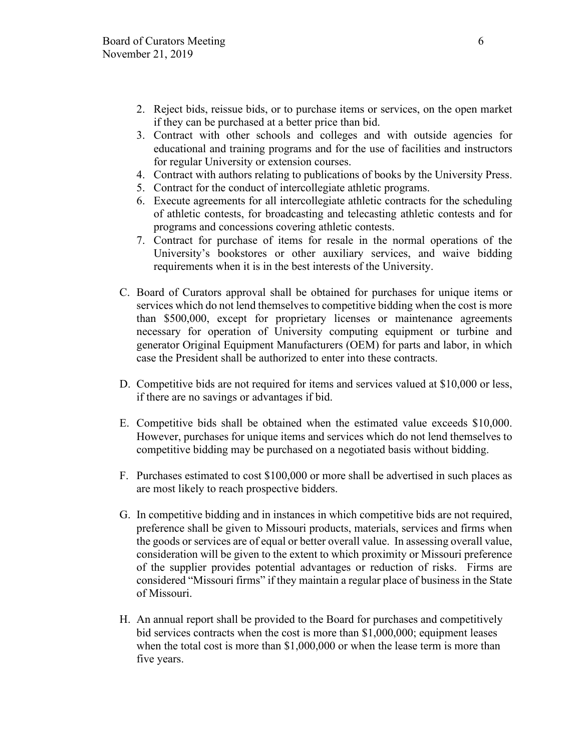- 2. Reject bids, reissue bids, or to purchase items or services, on the open market if they can be purchased at a better price than bid.
- 3. Contract with other schools and colleges and with outside agencies for educational and training programs and for the use of facilities and instructors for regular University or extension courses.
- 4. Contract with authors relating to publications of books by the University Press.
- 5. Contract for the conduct of intercollegiate athletic programs.
- 6. Execute agreements for all intercollegiate athletic contracts for the scheduling of athletic contests, for broadcasting and telecasting athletic contests and for programs and concessions covering athletic contests.
- 7. Contract for purchase of items for resale in the normal operations of the University's bookstores or other auxiliary services, and waive bidding requirements when it is in the best interests of the University.
- C. Board of Curators approval shall be obtained for purchases for unique items or services which do not lend themselves to competitive bidding when the cost is more than \$500,000, except for proprietary licenses or maintenance agreements necessary for operation of University computing equipment or turbine and generator Original Equipment Manufacturers (OEM) for parts and labor, in which case the President shall be authorized to enter into these contracts.
- D. Competitive bids are not required for items and services valued at \$10,000 or less, if there are no savings or advantages if bid.
- E. Competitive bids shall be obtained when the estimated value exceeds \$10,000. However, purchases for unique items and services which do not lend themselves to competitive bidding may be purchased on a negotiated basis without bidding.
- F. Purchases estimated to cost \$100,000 or more shall be advertised in such places as are most likely to reach prospective bidders.
- G. In competitive bidding and in instances in which competitive bids are not required, preference shall be given to Missouri products, materials, services and firms when the goods or services are of equal or better overall value. In assessing overall value, consideration will be given to the extent to which proximity or Missouri preference of the supplier provides potential advantages or reduction of risks. Firms are considered "Missouri firms" if they maintain a regular place of business in the State of Missouri.
- H. An annual report shall be provided to the Board for purchases and competitively bid services contracts when the cost is more than \$1,000,000; equipment leases when the total cost is more than \$1,000,000 or when the lease term is more than five years.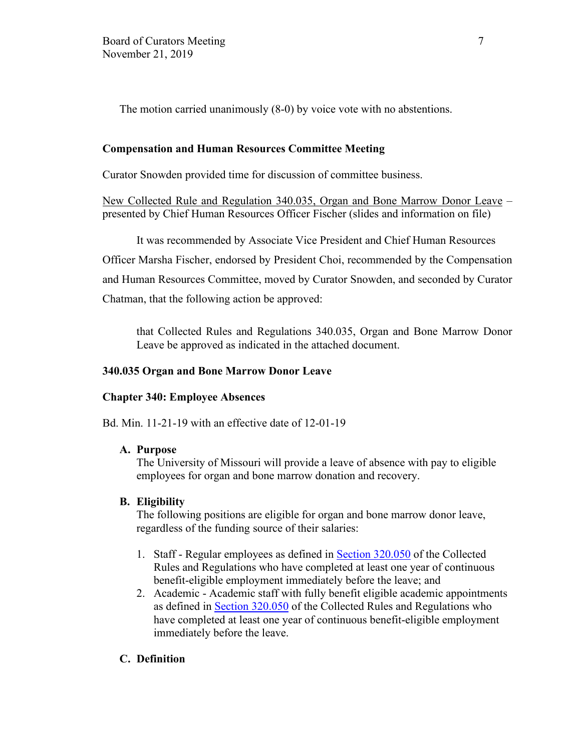The motion carried unanimously (8-0) by voice vote with no abstentions.

## **Compensation and Human Resources Committee Meeting**

Curator Snowden provided time for discussion of committee business.

New Collected Rule and Regulation 340.035, Organ and Bone Marrow Donor Leave – presented by Chief Human Resources Officer Fischer (slides and information on file)

It was recommended by Associate Vice President and Chief Human Resources Officer Marsha Fischer, endorsed by President Choi, recommended by the Compensation and Human Resources Committee, moved by Curator Snowden, and seconded by Curator Chatman, that the following action be approved:

that Collected Rules and Regulations 340.035, Organ and Bone Marrow Donor Leave be approved as indicated in the attached document.

## **340.035 Organ and Bone Marrow Donor Leave**

### **Chapter 340: Employee Absences**

Bd. Min. 11-21-19 with an effective date of 12-01-19

### **A. Purpose**

The University of Missouri will provide a leave of absence with pay to eligible employees for organ and bone marrow donation and recovery.

### **B. Eligibility**

The following positions are eligible for organ and bone marrow donor leave, regardless of the funding source of their salaries:

- 1. Staff Regular employees as defined in [Section 320.050](https://www.umsystem.edu/ums/rules/collected_rules/personnel/ch320/320.050_employee_status) of the Collected Rules and Regulations who have completed at least one year of continuous benefit-eligible employment immediately before the leave; and
- 2. Academic Academic staff with fully benefit eligible academic appointments as defined in [Section 320.050](https://www.umsystem.edu/ums/rules/collected_rules/personnel/ch320/320.050_employee_status) of the Collected Rules and Regulations who have completed at least one year of continuous benefit-eligible employment immediately before the leave.

## **C. Definition**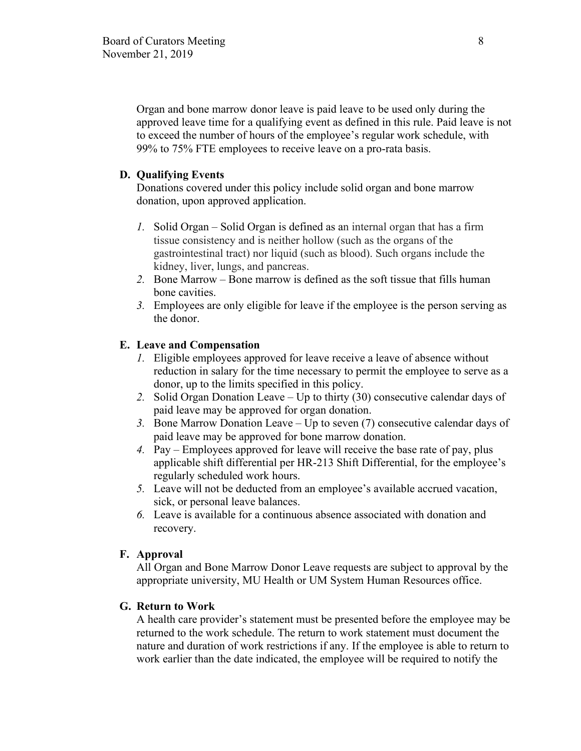Organ and bone marrow donor leave is paid leave to be used only during the approved leave time for a qualifying event as defined in this rule. Paid leave is not to exceed the number of hours of the employee's regular work schedule, with 99% to 75% FTE employees to receive leave on a pro-rata basis.

## **D. Qualifying Events**

Donations covered under this policy include solid organ and bone marrow donation, upon approved application.

- *1.* Solid Organ Solid Organ is defined as an internal organ that has a firm tissue consistency and is neither hollow (such as the organs of the gastrointestinal tract) nor liquid (such as blood). Such organs include the kidney, liver, lungs, and pancreas.
- *2.* Bone Marrow Bone marrow is defined as the soft tissue that fills human bone cavities.
- *3.* Employees are only eligible for leave if the employee is the person serving as the donor.

## **E. Leave and Compensation**

- *1.* Eligible employees approved for leave receive a leave of absence without reduction in salary for the time necessary to permit the employee to serve as a donor, up to the limits specified in this policy.
- *2.* Solid Organ Donation Leave Up to thirty (30) consecutive calendar days of paid leave may be approved for organ donation.
- *3.* Bone Marrow Donation Leave Up to seven (7) consecutive calendar days of paid leave may be approved for bone marrow donation.
- *4.* Pay Employees approved for leave will receive the base rate of pay, plus applicable shift differential per HR-213 Shift Differential, for the employee's regularly scheduled work hours.
- *5.* Leave will not be deducted from an employee's available accrued vacation, sick, or personal leave balances.
- *6.* Leave is available for a continuous absence associated with donation and recovery.

### **F. Approval**

All Organ and Bone Marrow Donor Leave requests are subject to approval by the appropriate university, MU Health or UM System Human Resources office.

### **G. Return to Work**

A health care provider's statement must be presented before the employee may be returned to the work schedule. The return to work statement must document the nature and duration of work restrictions if any. If the employee is able to return to work earlier than the date indicated, the employee will be required to notify the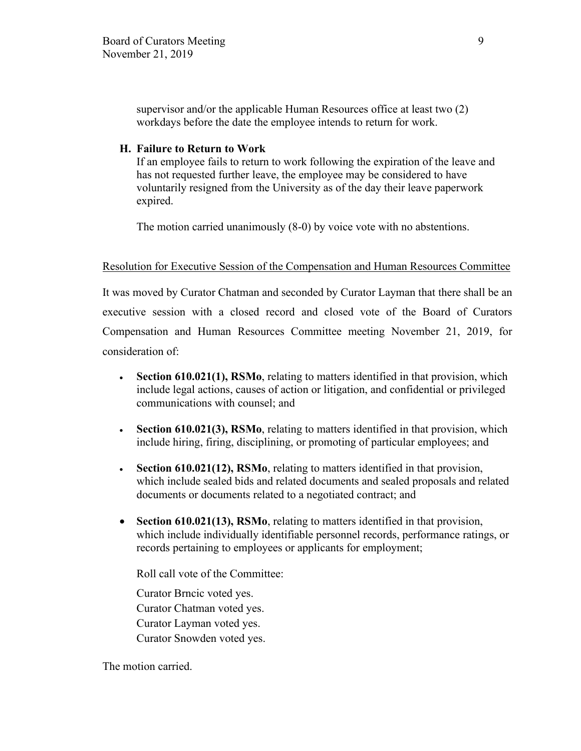supervisor and/or the applicable Human Resources office at least two (2) workdays before the date the employee intends to return for work.

### **H. Failure to Return to Work**

If an employee fails to return to work following the expiration of the leave and has not requested further leave, the employee may be considered to have voluntarily resigned from the University as of the day their leave paperwork expired.

The motion carried unanimously (8-0) by voice vote with no abstentions.

### Resolution for Executive Session of the Compensation and Human Resources Committee

It was moved by Curator Chatman and seconded by Curator Layman that there shall be an executive session with a closed record and closed vote of the Board of Curators Compensation and Human Resources Committee meeting November 21, 2019, for consideration of:

- **Section 610.021(1), RSMo**, relating to matters identified in that provision, which include legal actions, causes of action or litigation, and confidential or privileged communications with counsel; and
- **Section 610.021(3), RSMo**, relating to matters identified in that provision, which include hiring, firing, disciplining, or promoting of particular employees; and
- **Section 610.021(12), RSMo**, relating to matters identified in that provision, which include sealed bids and related documents and sealed proposals and related documents or documents related to a negotiated contract; and
- **Section 610.021(13), RSMo**, relating to matters identified in that provision, which include individually identifiable personnel records, performance ratings, or records pertaining to employees or applicants for employment;

Roll call vote of the Committee:

Curator Brncic voted yes. Curator Chatman voted yes. Curator Layman voted yes. Curator Snowden voted yes.

The motion carried.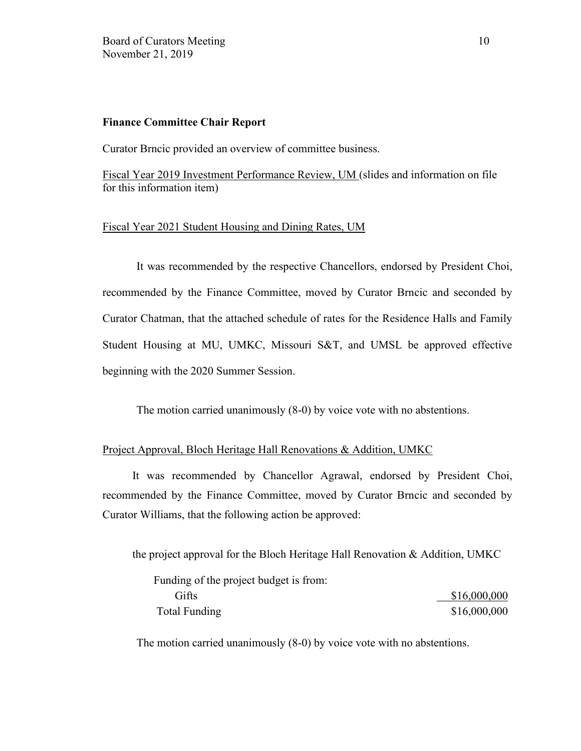### **Finance Committee Chair Report**

Curator Brncic provided an overview of committee business.

Fiscal Year 2019 Investment Performance Review, UM (slides and information on file for this information item)

# Fiscal Year 2021 Student Housing and Dining Rates, UM

It was recommended by the respective Chancellors, endorsed by President Choi, recommended by the Finance Committee, moved by Curator Brncic and seconded by Curator Chatman, that the attached schedule of rates for the Residence Halls and Family Student Housing at MU, UMKC, Missouri S&T, and UMSL be approved effective beginning with the 2020 Summer Session.

The motion carried unanimously (8-0) by voice vote with no abstentions.

## Project Approval, Bloch Heritage Hall Renovations & Addition, UMKC

It was recommended by Chancellor Agrawal, endorsed by President Choi, recommended by the Finance Committee, moved by Curator Brncic and seconded by Curator Williams, that the following action be approved:

the project approval for the Bloch Heritage Hall Renovation & Addition, UMKC

| Funding of the project budget is from: |              |
|----------------------------------------|--------------|
| Gifts                                  | \$16,000,000 |
| Total Funding                          | \$16,000,000 |

The motion carried unanimously (8-0) by voice vote with no abstentions.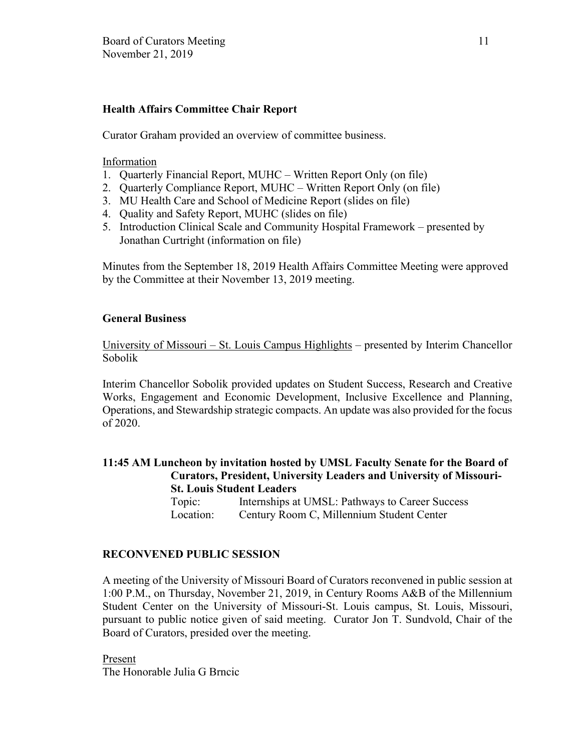# **Health Affairs Committee Chair Report**

Curator Graham provided an overview of committee business.

## Information

- 1. Quarterly Financial Report, MUHC Written Report Only (on file)
- 2. Quarterly Compliance Report, MUHC Written Report Only (on file)
- 3. MU Health Care and School of Medicine Report (slides on file)
- 4. Quality and Safety Report, MUHC (slides on file)
- 5. Introduction Clinical Scale and Community Hospital Framework presented by Jonathan Curtright (information on file)

Minutes from the September 18, 2019 Health Affairs Committee Meeting were approved by the Committee at their November 13, 2019 meeting.

## **General Business**

University of Missouri – St. Louis Campus Highlights – presented by Interim Chancellor Sobolik

Interim Chancellor Sobolik provided updates on Student Success, Research and Creative Works, Engagement and Economic Development, Inclusive Excellence and Planning, Operations, and Stewardship strategic compacts. An update was also provided for the focus of 2020.

**11:45 AM Luncheon by invitation hosted by UMSL Faculty Senate for the Board of Curators, President, University Leaders and University of Missouri-St. Louis Student Leaders** Topic: Internships at UMSL: Pathways to Career Success Location: Century Room C, Millennium Student Center

## **RECONVENED PUBLIC SESSION**

A meeting of the University of Missouri Board of Curators reconvened in public session at 1:00 P.M., on Thursday, November 21, 2019, in Century Rooms A&B of the Millennium Student Center on the University of Missouri-St. Louis campus, St. Louis, Missouri, pursuant to public notice given of said meeting. Curator Jon T. Sundvold, Chair of the Board of Curators, presided over the meeting.

Present The Honorable Julia G Brncic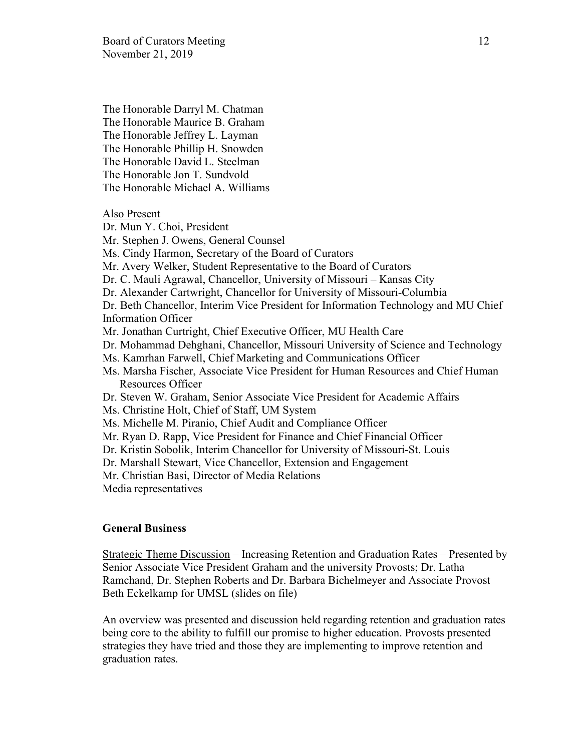The Honorable Darryl M. Chatman The Honorable Maurice B. Graham The Honorable Jeffrey L. Layman The Honorable Phillip H. Snowden The Honorable David L. Steelman The Honorable Jon T. Sundvold The Honorable Michael A. Williams

Also Present

Dr. Mun Y. Choi, President Mr. Stephen J. Owens, General Counsel Ms. Cindy Harmon, Secretary of the Board of Curators Mr. Avery Welker, Student Representative to the Board of Curators Dr. C. Mauli Agrawal, Chancellor, University of Missouri – Kansas City Dr. Alexander Cartwright, Chancellor for University of Missouri-Columbia Dr. Beth Chancellor, Interim Vice President for Information Technology and MU Chief Information Officer Mr. Jonathan Curtright, Chief Executive Officer, MU Health Care Dr. Mohammad Dehghani, Chancellor, Missouri University of Science and Technology Ms. Kamrhan Farwell, Chief Marketing and Communications Officer Ms. Marsha Fischer, Associate Vice President for Human Resources and Chief Human Resources Officer Dr. Steven W. Graham, Senior Associate Vice President for Academic Affairs Ms. Christine Holt, Chief of Staff, UM System Ms. Michelle M. Piranio, Chief Audit and Compliance Officer Mr. Ryan D. Rapp, Vice President for Finance and Chief Financial Officer Dr. Kristin Sobolik, Interim Chancellor for University of Missouri-St. Louis Dr. Marshall Stewart, Vice Chancellor, Extension and Engagement Mr. Christian Basi, Director of Media Relations Media representatives

### **General Business**

Strategic Theme Discussion – Increasing Retention and Graduation Rates – Presented by Senior Associate Vice President Graham and the university Provosts; Dr. Latha Ramchand, Dr. Stephen Roberts and Dr. Barbara Bichelmeyer and Associate Provost Beth Eckelkamp for UMSL (slides on file)

An overview was presented and discussion held regarding retention and graduation rates being core to the ability to fulfill our promise to higher education. Provosts presented strategies they have tried and those they are implementing to improve retention and graduation rates.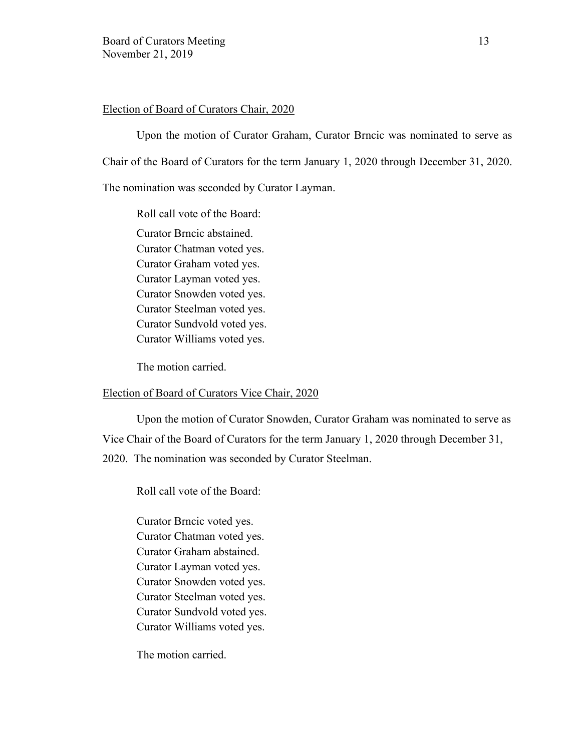## Election of Board of Curators Chair, 2020

Upon the motion of Curator Graham, Curator Brncic was nominated to serve as Chair of the Board of Curators for the term January 1, 2020 through December 31, 2020. The nomination was seconded by Curator Layman.

Roll call vote of the Board:

Curator Brncic abstained. Curator Chatman voted yes. Curator Graham voted yes. Curator Layman voted yes. Curator Snowden voted yes. Curator Steelman voted yes. Curator Sundvold voted yes. Curator Williams voted yes.

The motion carried.

### Election of Board of Curators Vice Chair, 2020

Upon the motion of Curator Snowden, Curator Graham was nominated to serve as Vice Chair of the Board of Curators for the term January 1, 2020 through December 31, 2020. The nomination was seconded by Curator Steelman.

Roll call vote of the Board:

Curator Brncic voted yes. Curator Chatman voted yes. Curator Graham abstained. Curator Layman voted yes. Curator Snowden voted yes. Curator Steelman voted yes. Curator Sundvold voted yes. Curator Williams voted yes.

The motion carried.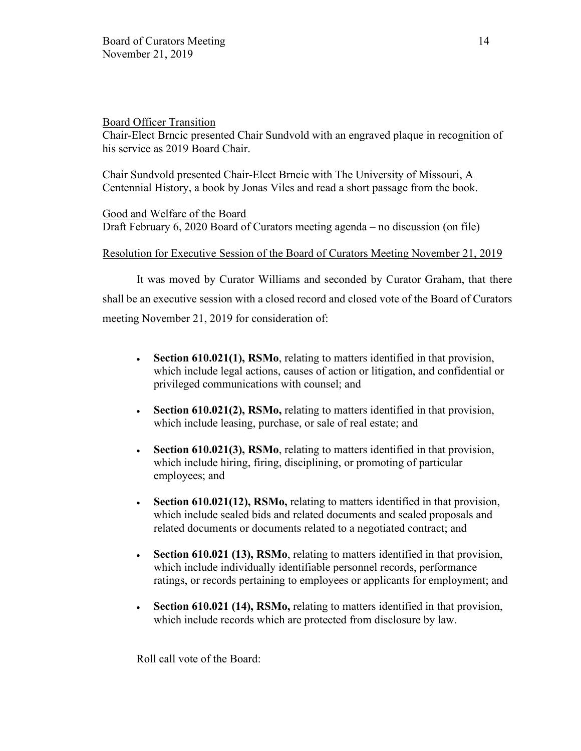## Board Officer Transition

Chair-Elect Brncic presented Chair Sundvold with an engraved plaque in recognition of his service as 2019 Board Chair.

Chair Sundvold presented Chair-Elect Brncic with The University of Missouri, A Centennial History, a book by Jonas Viles and read a short passage from the book.

Good and Welfare of the Board Draft February 6, 2020 Board of Curators meeting agenda – no discussion (on file)

# Resolution for Executive Session of the Board of Curators Meeting November 21, 2019

It was moved by Curator Williams and seconded by Curator Graham, that there shall be an executive session with a closed record and closed vote of the Board of Curators meeting November 21, 2019 for consideration of:

- **Section 610.021(1), RSMo**, relating to matters identified in that provision, which include legal actions, causes of action or litigation, and confidential or privileged communications with counsel; and
- **Section 610.021(2), RSMo,** relating to matters identified in that provision, which include leasing, purchase, or sale of real estate; and
- **Section 610.021(3), RSMo**, relating to matters identified in that provision, which include hiring, firing, disciplining, or promoting of particular employees; and
- **Section 610.021(12), RSMo, relating to matters identified in that provision,** which include sealed bids and related documents and sealed proposals and related documents or documents related to a negotiated contract; and
- **Section 610.021 (13), RSMo**, relating to matters identified in that provision, which include individually identifiable personnel records, performance ratings, or records pertaining to employees or applicants for employment; and
- **Section 610.021 (14), RSMo,** relating to matters identified in that provision, which include records which are protected from disclosure by law.

Roll call vote of the Board: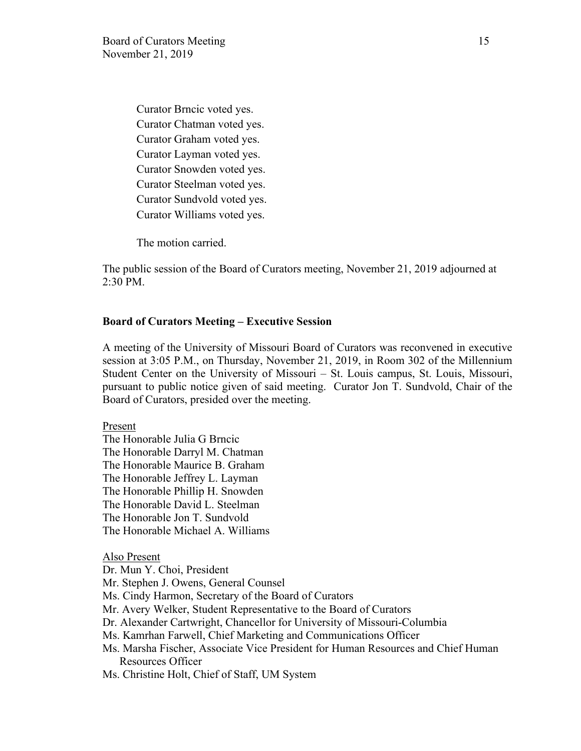Curator Brncic voted yes. Curator Chatman voted yes. Curator Graham voted yes. Curator Layman voted yes. Curator Snowden voted yes. Curator Steelman voted yes. Curator Sundvold voted yes. Curator Williams voted yes.

The motion carried.

The public session of the Board of Curators meeting, November 21, 2019 adjourned at 2:30 PM.

### **Board of Curators Meeting – Executive Session**

A meeting of the University of Missouri Board of Curators was reconvened in executive session at 3:05 P.M., on Thursday, November 21, 2019, in Room 302 of the Millennium Student Center on the University of Missouri – St. Louis campus, St. Louis, Missouri, pursuant to public notice given of said meeting. Curator Jon T. Sundvold, Chair of the Board of Curators, presided over the meeting.

Present

The Honorable Julia G Brncic The Honorable Darryl M. Chatman The Honorable Maurice B. Graham The Honorable Jeffrey L. Layman The Honorable Phillip H. Snowden The Honorable David L. Steelman The Honorable Jon T. Sundvold The Honorable Michael A. Williams

Also Present

Dr. Mun Y. Choi, President

Mr. Stephen J. Owens, General Counsel

Ms. Cindy Harmon, Secretary of the Board of Curators

Mr. Avery Welker, Student Representative to the Board of Curators

Dr. Alexander Cartwright, Chancellor for University of Missouri-Columbia

Ms. Kamrhan Farwell, Chief Marketing and Communications Officer

Ms. Marsha Fischer, Associate Vice President for Human Resources and Chief Human Resources Officer

Ms. Christine Holt, Chief of Staff, UM System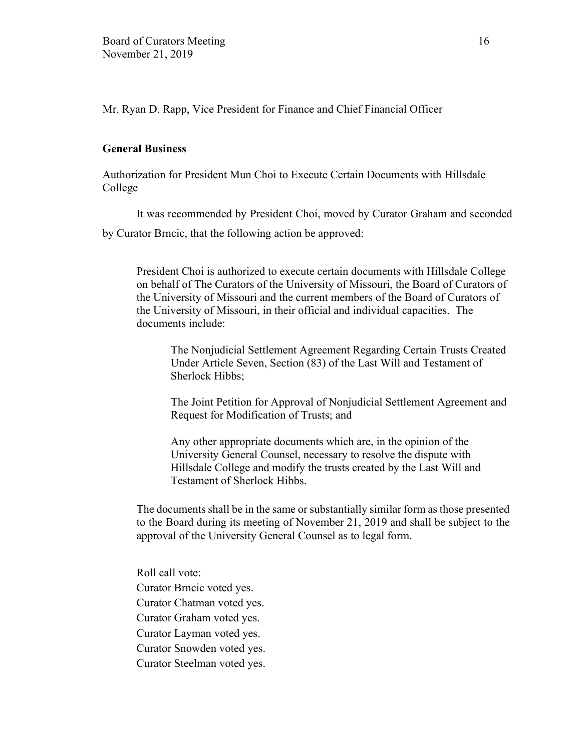Mr. Ryan D. Rapp, Vice President for Finance and Chief Financial Officer

### **General Business**

# Authorization for President Mun Choi to Execute Certain Documents with Hillsdale College

It was recommended by President Choi, moved by Curator Graham and seconded by Curator Brncic, that the following action be approved:

President Choi is authorized to execute certain documents with Hillsdale College on behalf of The Curators of the University of Missouri, the Board of Curators of the University of Missouri and the current members of the Board of Curators of the University of Missouri, in their official and individual capacities. The documents include:

 The Nonjudicial Settlement Agreement Regarding Certain Trusts Created Under Article Seven, Section (83) of the Last Will and Testament of Sherlock Hibbs;

The Joint Petition for Approval of Nonjudicial Settlement Agreement and Request for Modification of Trusts; and

Any other appropriate documents which are, in the opinion of the University General Counsel, necessary to resolve the dispute with Hillsdale College and modify the trusts created by the Last Will and Testament of Sherlock Hibbs.

The documents shall be in the same or substantially similar form as those presented to the Board during its meeting of November 21, 2019 and shall be subject to the approval of the University General Counsel as to legal form.

Roll call vote: Curator Brncic voted yes. Curator Chatman voted yes. Curator Graham voted yes. Curator Layman voted yes. Curator Snowden voted yes. Curator Steelman voted yes.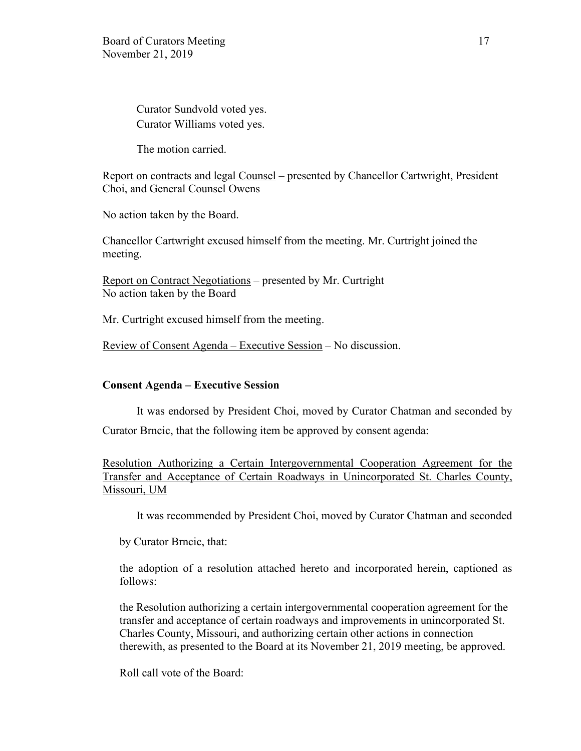Curator Sundvold voted yes. Curator Williams voted yes.

The motion carried.

Report on contracts and legal Counsel – presented by Chancellor Cartwright, President Choi, and General Counsel Owens

No action taken by the Board.

Chancellor Cartwright excused himself from the meeting. Mr. Curtright joined the meeting.

Report on Contract Negotiations – presented by Mr. Curtright No action taken by the Board

Mr. Curtright excused himself from the meeting.

Review of Consent Agenda – Executive Session – No discussion.

### **Consent Agenda – Executive Session**

It was endorsed by President Choi, moved by Curator Chatman and seconded by Curator Brncic, that the following item be approved by consent agenda:

Resolution Authorizing a Certain Intergovernmental Cooperation Agreement for the Transfer and Acceptance of Certain Roadways in Unincorporated St. Charles County, Missouri, UM

It was recommended by President Choi, moved by Curator Chatman and seconded

by Curator Brncic, that:

the adoption of a resolution attached hereto and incorporated herein, captioned as follows:

the Resolution authorizing a certain intergovernmental cooperation agreement for the transfer and acceptance of certain roadways and improvements in unincorporated St. Charles County, Missouri, and authorizing certain other actions in connection therewith, as presented to the Board at its November 21, 2019 meeting, be approved.

Roll call vote of the Board: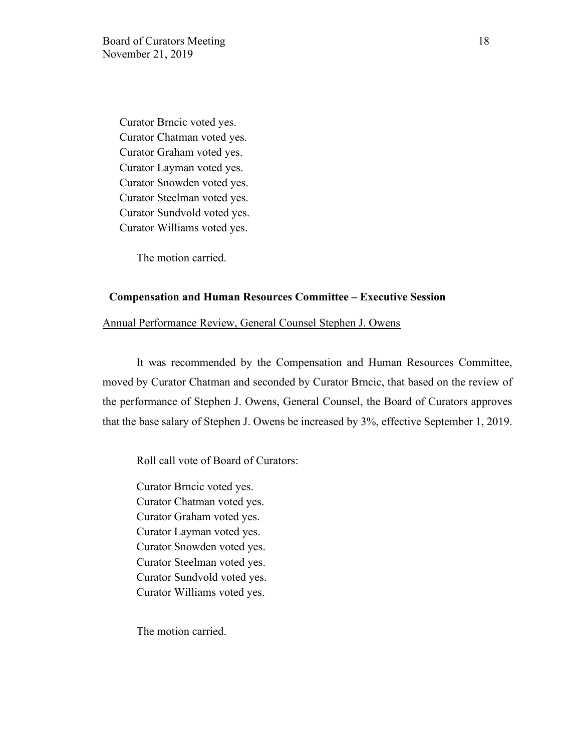Curator Brncic voted yes. Curator Chatman voted yes. Curator Graham voted yes. Curator Layman voted yes. Curator Snowden voted yes. Curator Steelman voted yes. Curator Sundvold voted yes. Curator Williams voted yes.

The motion carried.

### **Compensation and Human Resources Committee – Executive Session**

### Annual Performance Review, General Counsel Stephen J. Owens

It was recommended by the Compensation and Human Resources Committee, moved by Curator Chatman and seconded by Curator Brncic, that based on the review of the performance of Stephen J. Owens, General Counsel, the Board of Curators approves that the base salary of Stephen J. Owens be increased by 3%, effective September 1, 2019.

Roll call vote of Board of Curators:

Curator Brncic voted yes. Curator Chatman voted yes. Curator Graham voted yes. Curator Layman voted yes. Curator Snowden voted yes. Curator Steelman voted yes. Curator Sundvold voted yes. Curator Williams voted yes.

The motion carried.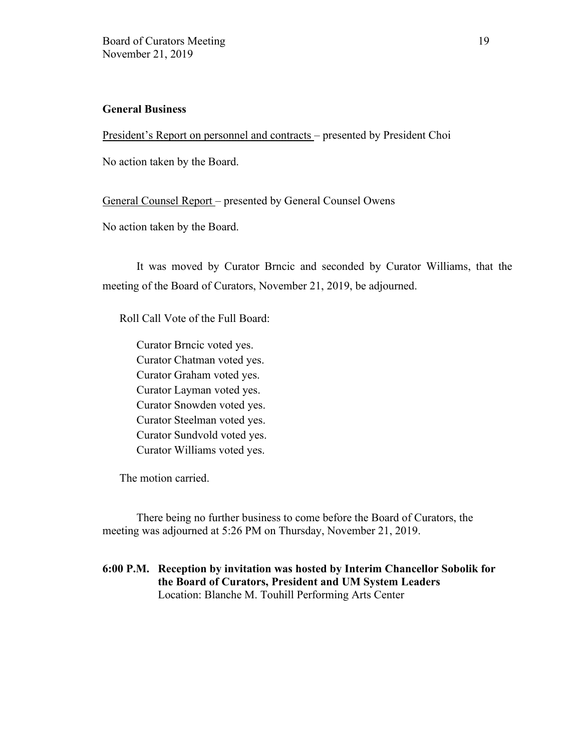## **General Business**

President's Report on personnel and contracts – presented by President Choi

No action taken by the Board.

General Counsel Report – presented by General Counsel Owens

No action taken by the Board.

It was moved by Curator Brncic and seconded by Curator Williams, that the meeting of the Board of Curators, November 21, 2019, be adjourned.

Roll Call Vote of the Full Board:

Curator Brncic voted yes. Curator Chatman voted yes. Curator Graham voted yes. Curator Layman voted yes. Curator Snowden voted yes. Curator Steelman voted yes. Curator Sundvold voted yes. Curator Williams voted yes.

The motion carried.

There being no further business to come before the Board of Curators, the meeting was adjourned at 5:26 PM on Thursday, November 21, 2019.

# **6:00 P.M. Reception by invitation was hosted by Interim Chancellor Sobolik for the Board of Curators, President and UM System Leaders**  Location: Blanche M. Touhill Performing Arts Center